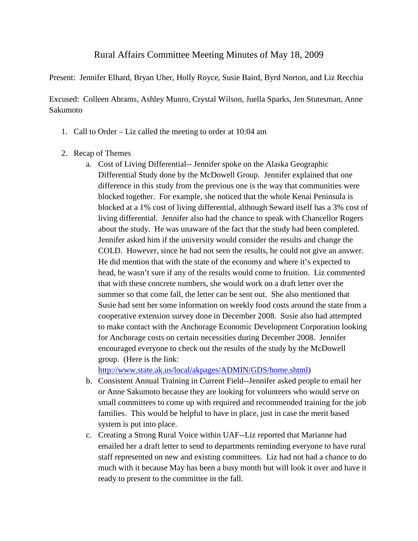## Rural Affairs Committee Meeting Minutes of May 18, 2009

Present: Jennifer Elhard, Bryan Uher, Holly Royce, Susie Baird, Byrd Norton, and Liz Recchia

Excused: Colleen Abrams, Ashley Munro, Crystal Wilson, Juella Sparks, Jen Stutesman, Anne Sakumoto

- 1. Call to Order Liz called the meeting to order at 10:04 am
- 2. Recap of Themes
	- a. Cost of Living Differential-- Jennifer spoke on the Alaska Geographic Differential Study done by the McDowell Group. Jennifer explained that one difference in this study from the previous one is the way that communities were blocked together. For example, she noticed that the whole Kenai Peninsula is blocked at a 1% cost of living differential, although Seward itself has a 3% cost of living differential. Jennifer also had the chance to speak with Chancellor Rogers about the study. He was unaware of the fact that the study had been completed. Jennifer asked him if the university would consider the results and change the COLD. However, since he had not seen the results, he could not give an answer. He did mention that with the state of the economy and where it's expected to head, he wasn't sure if any of the results would come to fruition. Liz commented that with these concrete numbers, she would work on a draft letter over the summer so that come fall, the letter can be sent out. She also mentioned that Susie had sent her some information on weekly food costs around the state from a cooperative extension survey done in December 2008. Susie also had attempted to make contact with the Anchorage Economic Development Corporation looking for Anchorage costs on certain necessities during December 2008. Jennifer encouraged everyone to check out the results of the study by the McDowell group. (Here is the link:

[http://www.state.ak.us/local/akpages/ADMIN/GDS/home.shtml\)](http://www.state.ak.us/local/akpages/ADMIN/GDS/home.shtml)

- b. Consistent Annual Training in Current Field--Jennifer asked people to email her or Anne Sakumoto because they are looking for volunteers who would serve on small committees to come up with required and recommended training for the job families. This would be helpful to have in place, just in case the merit based system is put into place.
- c. Creating a Strong Rural Voice within UAF--Liz reported that Marianne had emailed her a draft letter to send to departments reminding everyone to have rural staff represented on new and existing committees. Liz had not had a chance to do much with it because May has been a busy month but will look it over and have it ready to present to the committee in the fall.